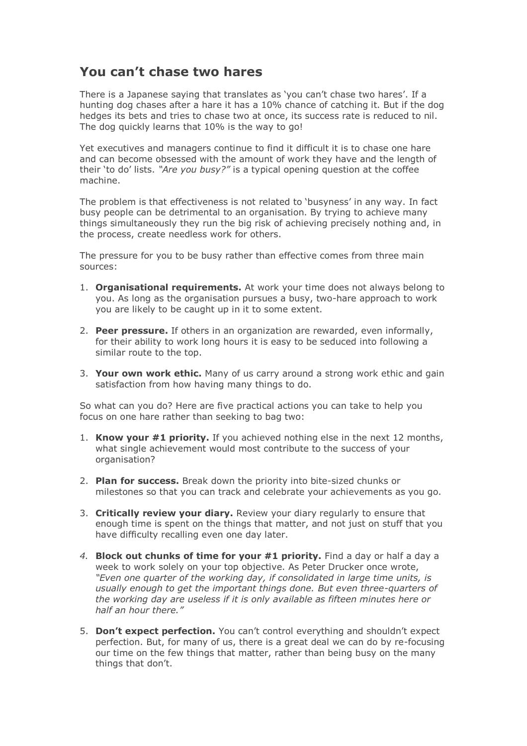## **You can't chase two hares**

There is a Japanese saying that translates as 'you can't chase two hares'. If a hunting dog chases after a hare it has a 10% chance of catching it. But if the dog hedges its bets and tries to chase two at once, its success rate is reduced to nil. The dog quickly learns that 10% is the way to go!

Yet executives and managers continue to find it difficult it is to chase one hare and can become obsessed with the amount of work they have and the length of their 'to do' lists. *"Are you busy?"* is a typical opening question at the coffee machine.

The problem is that effectiveness is not related to 'busyness' in any way. In fact busy people can be detrimental to an organisation. By trying to achieve many things simultaneously they run the big risk of achieving precisely nothing and, in the process, create needless work for others.

The pressure for you to be busy rather than effective comes from three main sources:

- 1. **Organisational requirements.** At work your time does not always belong to you. As long as the organisation pursues a busy, two-hare approach to work you are likely to be caught up in it to some extent.
- 2. **Peer pressure.** If others in an organization are rewarded, even informally, for their ability to work long hours it is easy to be seduced into following a similar route to the top.
- 3. **Your own work ethic.** Many of us carry around a strong work ethic and gain satisfaction from how having many things to do.

So what can you do? Here are five practical actions you can take to help you focus on one hare rather than seeking to bag two:

- 1. **Know your #1 priority.** If you achieved nothing else in the next 12 months, what single achievement would most contribute to the success of your organisation?
- 2. **Plan for success.** Break down the priority into bite-sized chunks or milestones so that you can track and celebrate your achievements as you go.
- 3. **Critically review your diary.** Review your diary regularly to ensure that enough time is spent on the things that matter, and not just on stuff that you have difficulty recalling even one day later.
- *4.* **Block out chunks of time for your #1 priority.** Find a day or half a day a week to work solely on your top objective. As Peter Drucker once wrote, *"Even one quarter of the working day, if consolidated in large time units, is usually enough to get the important things done. But even three-quarters of the working day are useless if it is only available as fifteen minutes here or half an hour there."*
- 5. **Don't expect perfection.** You can't control everything and shouldn't expect perfection. But, for many of us, there is a great deal we can do by re-focusing our time on the few things that matter, rather than being busy on the many things that don't.